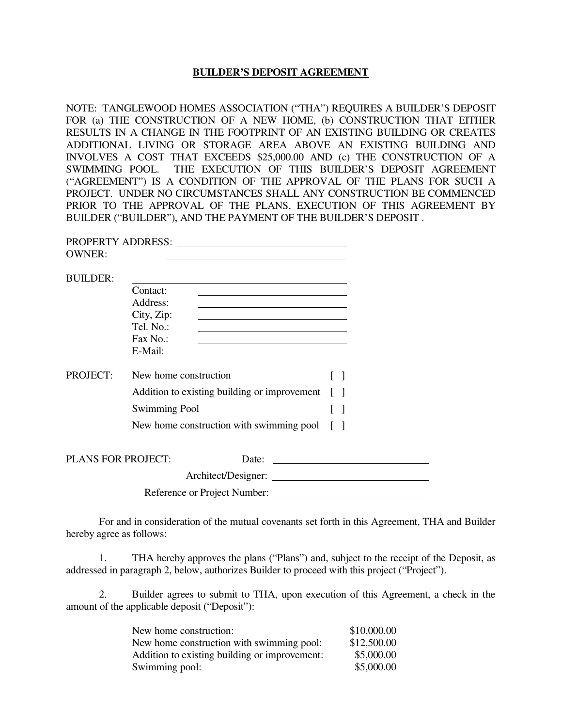#### **BUILDER'S DEPOSIT AGREEMENT**

NOTE: TANGLEWOOD HOMES ASSOCIATION ("THA") REQUIRES A BUILDER'S DEPOSIT FOR (a) THE CONSTRUCTION OF A NEW HOME, (b) CONSTRUCTION THAT EITHER RESULTS IN A CHANGE IN THE FOOTPRINT OF AN EXISTING BUILDING OR CREATES ADDITIONAL LIVING OR STORAGE AREA ABOVE AN EXISTING BUILDING AND INVOLVES A COST THAT EXCEEDS \$25,000.00 AND (c) THE CONSTRUCTION OF A SWIMMING POOL. THE EXECUTION OF THIS BUILDER'S DEPOSIT AGREEMENT ("AGREEMENT") IS A CONDITION OF THE APPROVAL OF THE PLANS FOR SUCH A PROJECT. UNDER NO CIRCUMSTANCES SHALL ANY CONSTRUCTION BE COMMENCED PRIOR TO THE APPROVAL OF THE PLANS, EXECUTION OF THIS AGREEMENT BY BUILDER ("BUILDER"), AND THE PAYMENT OF THE BUILDER'S DEPOSIT .

|                           | PROPERTY ADDRESS:                               |        |  |
|---------------------------|-------------------------------------------------|--------|--|
| <b>OWNER:</b>             |                                                 |        |  |
| <b>BUILDER:</b>           |                                                 |        |  |
|                           | Contact:                                        |        |  |
|                           | Address:                                        |        |  |
|                           | City, Zip:                                      |        |  |
|                           | Tel. No.:                                       |        |  |
|                           | Fax No.:                                        |        |  |
|                           | E-Mail:                                         |        |  |
| <b>PROJECT:</b>           | New home construction                           | $\Box$ |  |
|                           | Addition to existing building or improvement [] |        |  |
|                           | <b>Swimming Pool</b>                            | $\Box$ |  |
|                           | New home construction with swimming pool [ ]    |        |  |
|                           |                                                 |        |  |
| <b>PLANS FOR PROJECT:</b> | Date:                                           |        |  |
|                           | Architect/Designer:                             |        |  |

Reference or Project Number:

 For and in consideration of the mutual covenants set forth in this Agreement, THA and Builder hereby agree as follows:

 1. THA hereby approves the plans ("Plans") and, subject to the receipt of the Deposit, as addressed in paragraph 2, below, authorizes Builder to proceed with this project ("Project").

2. Builder agrees to submit to THA, upon execution of this Agreement, a check in the amount of the applicable deposit ("Deposit"):

| New home construction:                        | \$10,000.00 |
|-----------------------------------------------|-------------|
| New home construction with swimming pool:     | \$12,500.00 |
| Addition to existing building or improvement: | \$5,000.00  |
| Swimming pool:                                | \$5,000.00  |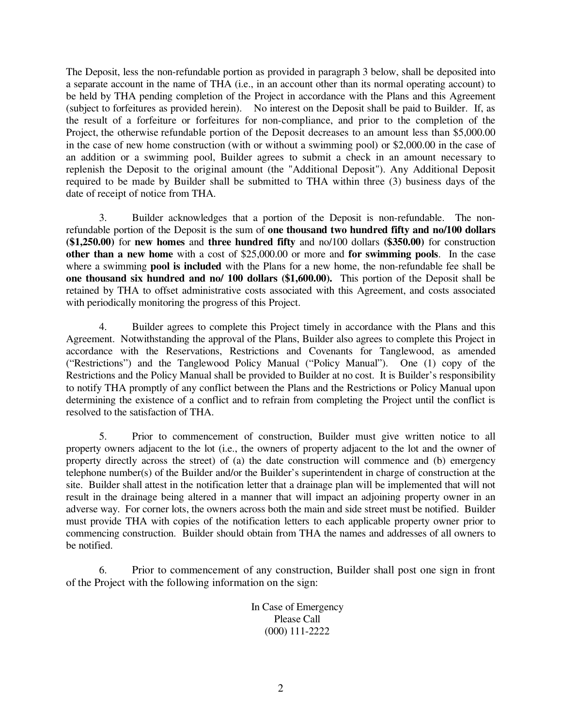The Deposit, less the non-refundable portion as provided in paragraph 3 below, shall be deposited into a separate account in the name of THA (i.e., in an account other than its normal operating account) to be held by THA pending completion of the Project in accordance with the Plans and this Agreement (subject to forfeitures as provided herein). No interest on the Deposit shall be paid to Builder. If, as the result of a forfeiture or forfeitures for non-compliance, and prior to the completion of the Project, the otherwise refundable portion of the Deposit decreases to an amount less than \$5,000.00 in the case of new home construction (with or without a swimming pool) or \$2,000.00 in the case of an addition or a swimming pool, Builder agrees to submit a check in an amount necessary to replenish the Deposit to the original amount (the "Additional Deposit"). Any Additional Deposit required to be made by Builder shall be submitted to THA within three (3) business days of the date of receipt of notice from THA.

 3. Builder acknowledges that a portion of the Deposit is non-refundable. The nonrefundable portion of the Deposit is the sum of **one thousand two hundred fifty and no/100 dollars (\$1,250.00)** for **new homes** and **three hundred fifty** and no/100 dollars **(\$350.00)** for construction **other than a new home** with a cost of \$25,000.00 or more and **for swimming pools**. In the case where a swimming **pool is included** with the Plans for a new home, the non-refundable fee shall be **one thousand six hundred and no/ 100 dollars (\$1,600.00).** This portion of the Deposit shall be retained by THA to offset administrative costs associated with this Agreement, and costs associated with periodically monitoring the progress of this Project.

4. Builder agrees to complete this Project timely in accordance with the Plans and this Agreement. Notwithstanding the approval of the Plans, Builder also agrees to complete this Project in accordance with the Reservations, Restrictions and Covenants for Tanglewood, as amended ("Restrictions") and the Tanglewood Policy Manual ("Policy Manual"). One (1) copy of the Restrictions and the Policy Manual shall be provided to Builder at no cost. It is Builder's responsibility to notify THA promptly of any conflict between the Plans and the Restrictions or Policy Manual upon determining the existence of a conflict and to refrain from completing the Project until the conflict is resolved to the satisfaction of THA.

5. Prior to commencement of construction, Builder must give written notice to all property owners adjacent to the lot (i.e., the owners of property adjacent to the lot and the owner of property directly across the street) of (a) the date construction will commence and (b) emergency telephone number(s) of the Builder and/or the Builder's superintendent in charge of construction at the site. Builder shall attest in the notification letter that a drainage plan will be implemented that will not result in the drainage being altered in a manner that will impact an adjoining property owner in an adverse way. For corner lots, the owners across both the main and side street must be notified. Builder must provide THA with copies of the notification letters to each applicable property owner prior to commencing construction. Builder should obtain from THA the names and addresses of all owners to be notified.

6. Prior to commencement of any construction, Builder shall post one sign in front of the Project with the following information on the sign:

> In Case of Emergency Please Call (000) 111-2222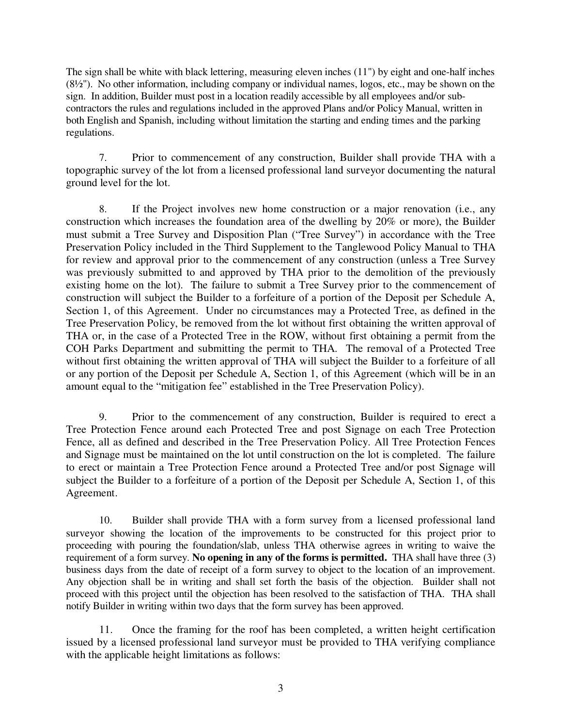The sign shall be white with black lettering, measuring eleven inches (11") by eight and one-half inches  $(8½")$ . No other information, including company or individual names, logos, etc., may be shown on the sign. In addition, Builder must post in a location readily accessible by all employees and/or subcontractors the rules and regulations included in the approved Plans and/or Policy Manual, written in both English and Spanish, including without limitation the starting and ending times and the parking regulations.

7. Prior to commencement of any construction, Builder shall provide THA with a topographic survey of the lot from a licensed professional land surveyor documenting the natural ground level for the lot.

8. If the Project involves new home construction or a major renovation (i.e., any construction which increases the foundation area of the dwelling by 20% or more), the Builder must submit a Tree Survey and Disposition Plan ("Tree Survey") in accordance with the Tree Preservation Policy included in the Third Supplement to the Tanglewood Policy Manual to THA for review and approval prior to the commencement of any construction (unless a Tree Survey was previously submitted to and approved by THA prior to the demolition of the previously existing home on the lot). The failure to submit a Tree Survey prior to the commencement of construction will subject the Builder to a forfeiture of a portion of the Deposit per Schedule A, Section 1, of this Agreement. Under no circumstances may a Protected Tree, as defined in the Tree Preservation Policy, be removed from the lot without first obtaining the written approval of THA or, in the case of a Protected Tree in the ROW, without first obtaining a permit from the COH Parks Department and submitting the permit to THA. The removal of a Protected Tree without first obtaining the written approval of THA will subject the Builder to a forfeiture of all or any portion of the Deposit per Schedule A, Section 1, of this Agreement (which will be in an amount equal to the "mitigation fee" established in the Tree Preservation Policy).

9. Prior to the commencement of any construction, Builder is required to erect a Tree Protection Fence around each Protected Tree and post Signage on each Tree Protection Fence, all as defined and described in the Tree Preservation Policy. All Tree Protection Fences and Signage must be maintained on the lot until construction on the lot is completed. The failure to erect or maintain a Tree Protection Fence around a Protected Tree and/or post Signage will subject the Builder to a forfeiture of a portion of the Deposit per Schedule A, Section 1, of this Agreement.

10. Builder shall provide THA with a form survey from a licensed professional land surveyor showing the location of the improvements to be constructed for this project prior to proceeding with pouring the foundation/slab, unless THA otherwise agrees in writing to waive the requirement of a form survey. **No opening in any of the forms is permitted.** THA shall have three (3) business days from the date of receipt of a form survey to object to the location of an improvement. Any objection shall be in writing and shall set forth the basis of the objection. Builder shall not proceed with this project until the objection has been resolved to the satisfaction of THA. THA shall notify Builder in writing within two days that the form survey has been approved.

11. Once the framing for the roof has been completed, a written height certification issued by a licensed professional land surveyor must be provided to THA verifying compliance with the applicable height limitations as follows: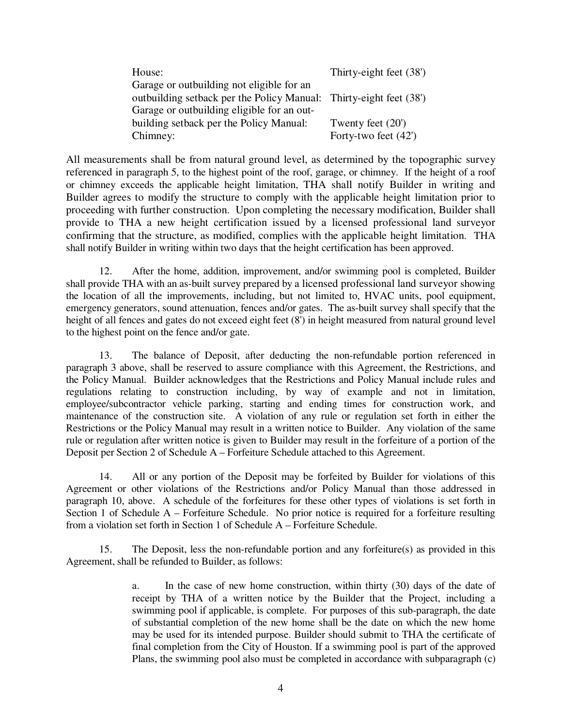| House:                                                             | Thirty-eight feet (38') |
|--------------------------------------------------------------------|-------------------------|
| Garage or outbuilding not eligible for an                          |                         |
| outbuilding setback per the Policy Manual: Thirty-eight feet (38') |                         |
| Garage or outbuilding eligible for an out-                         |                         |
| building setback per the Policy Manual:                            | Twenty feet $(20)$      |
| Chimney:                                                           | Forty-two feet (42')    |

All measurements shall be from natural ground level, as determined by the topographic survey referenced in paragraph 5, to the highest point of the roof, garage, or chimney. If the height of a roof or chimney exceeds the applicable height limitation, THA shall notify Builder in writing and Builder agrees to modify the structure to comply with the applicable height limitation prior to proceeding with further construction. Upon completing the necessary modification, Builder shall provide to THA a new height certification issued by a licensed professional land surveyor confirming that the structure, as modified, complies with the applicable height limitation. THA shall notify Builder in writing within two days that the height certification has been approved.

12. After the home, addition, improvement, and/or swimming pool is completed, Builder shall provide THA with an as-built survey prepared by a licensed professional land surveyor showing the location of all the improvements, including, but not limited to, HVAC units, pool equipment, emergency generators, sound attenuation, fences and/or gates. The as-built survey shall specify that the height of all fences and gates do not exceed eight feet  $(8')$  in height measured from natural ground level to the highest point on the fence and/or gate.

13. The balance of Deposit, after deducting the non-refundable portion referenced in paragraph 3 above, shall be reserved to assure compliance with this Agreement, the Restrictions, and the Policy Manual. Builder acknowledges that the Restrictions and Policy Manual include rules and regulations relating to construction including, by way of example and not in limitation, employee/subcontractor vehicle parking, starting and ending times for construction work, and maintenance of the construction site. A violation of any rule or regulation set forth in either the Restrictions or the Policy Manual may result in a written notice to Builder. Any violation of the same rule or regulation after written notice is given to Builder may result in the forfeiture of a portion of the Deposit per Section 2 of Schedule A – Forfeiture Schedule attached to this Agreement.

14. All or any portion of the Deposit may be forfeited by Builder for violations of this Agreement or other violations of the Restrictions and/or Policy Manual than those addressed in paragraph 10, above. A schedule of the forfeitures for these other types of violations is set forth in Section 1 of Schedule A – Forfeiture Schedule. No prior notice is required for a forfeiture resulting from a violation set forth in Section 1 of Schedule A – Forfeiture Schedule.

15. The Deposit, less the non-refundable portion and any forfeiture(s) as provided in this Agreement, shall be refunded to Builder, as follows:

> a. In the case of new home construction, within thirty (30) days of the date of receipt by THA of a written notice by the Builder that the Project, including a swimming pool if applicable, is complete. For purposes of this sub-paragraph, the date of substantial completion of the new home shall be the date on which the new home may be used for its intended purpose. Builder should submit to THA the certificate of final completion from the City of Houston. If a swimming pool is part of the approved Plans, the swimming pool also must be completed in accordance with subparagraph (c)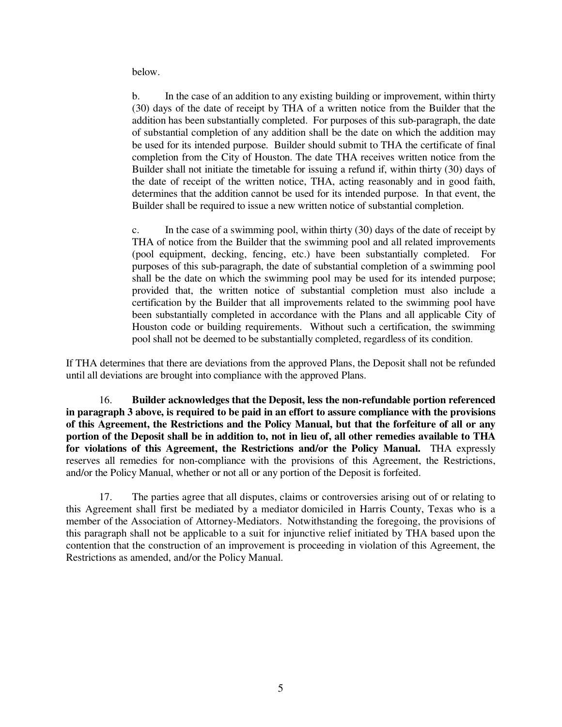below.

 b. In the case of an addition to any existing building or improvement, within thirty (30) days of the date of receipt by THA of a written notice from the Builder that the addition has been substantially completed. For purposes of this sub-paragraph, the date of substantial completion of any addition shall be the date on which the addition may be used for its intended purpose. Builder should submit to THA the certificate of final completion from the City of Houston. The date THA receives written notice from the Builder shall not initiate the timetable for issuing a refund if, within thirty (30) days of the date of receipt of the written notice, THA, acting reasonably and in good faith, determines that the addition cannot be used for its intended purpose. In that event, the Builder shall be required to issue a new written notice of substantial completion.

c. In the case of a swimming pool, within thirty (30) days of the date of receipt by THA of notice from the Builder that the swimming pool and all related improvements (pool equipment, decking, fencing, etc.) have been substantially completed. For purposes of this sub-paragraph, the date of substantial completion of a swimming pool shall be the date on which the swimming pool may be used for its intended purpose; provided that, the written notice of substantial completion must also include a certification by the Builder that all improvements related to the swimming pool have been substantially completed in accordance with the Plans and all applicable City of Houston code or building requirements. Without such a certification, the swimming pool shall not be deemed to be substantially completed, regardless of its condition.

If THA determines that there are deviations from the approved Plans, the Deposit shall not be refunded until all deviations are brought into compliance with the approved Plans.

16. **Builder acknowledges that the Deposit, less the non-refundable portion referenced in paragraph 3 above, is required to be paid in an effort to assure compliance with the provisions of this Agreement, the Restrictions and the Policy Manual, but that the forfeiture of all or any portion of the Deposit shall be in addition to, not in lieu of, all other remedies available to THA for violations of this Agreement, the Restrictions and/or the Policy Manual.** THA expressly reserves all remedies for non-compliance with the provisions of this Agreement, the Restrictions, and/or the Policy Manual, whether or not all or any portion of the Deposit is forfeited.

17. The parties agree that all disputes, claims or controversies arising out of or relating to this Agreement shall first be mediated by a mediator domiciled in Harris County, Texas who is a member of the Association of Attorney-Mediators. Notwithstanding the foregoing, the provisions of this paragraph shall not be applicable to a suit for injunctive relief initiated by THA based upon the contention that the construction of an improvement is proceeding in violation of this Agreement, the Restrictions as amended, and/or the Policy Manual.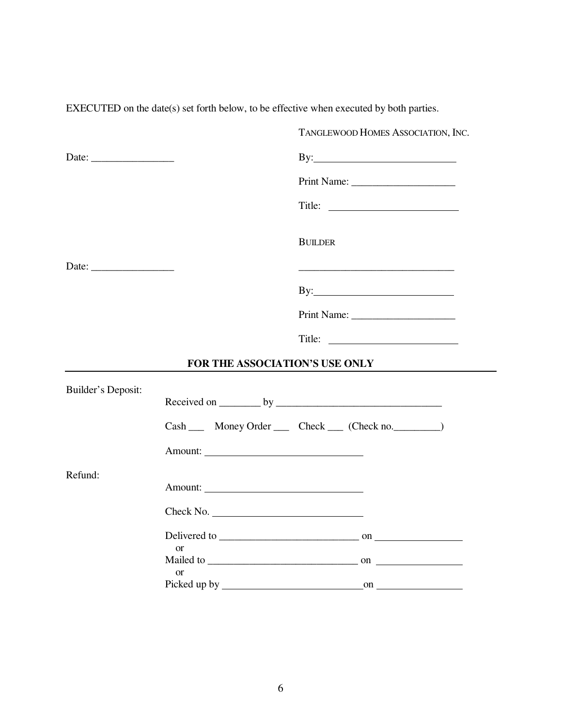|                                                        | TANGLEWOOD HOMES ASSOCIATION, INC.                                                                                   |
|--------------------------------------------------------|----------------------------------------------------------------------------------------------------------------------|
| Date: $\frac{1}{\sqrt{1-\frac{1}{2}}\cdot\frac{1}{2}}$ |                                                                                                                      |
|                                                        |                                                                                                                      |
|                                                        |                                                                                                                      |
|                                                        | <b>BUILDER</b>                                                                                                       |
|                                                        | <u> 1989 - Johann John Stone, mars eta bat eta bat eta bat eta bat eta bat ez arteko harta bat eta bat eta bat e</u> |
|                                                        |                                                                                                                      |
|                                                        |                                                                                                                      |
|                                                        |                                                                                                                      |
|                                                        | FOR THE ASSOCIATION'S USE ONLY                                                                                       |
| <b>Builder's Deposit:</b>                              |                                                                                                                      |
|                                                        | Cash _____ Money Order ______ Check _____ (Check no. _________)                                                      |
|                                                        |                                                                                                                      |
| Refund:                                                |                                                                                                                      |
|                                                        | Check No.                                                                                                            |
|                                                        | <b>or</b>                                                                                                            |
|                                                        |                                                                                                                      |
|                                                        | <b>or</b>                                                                                                            |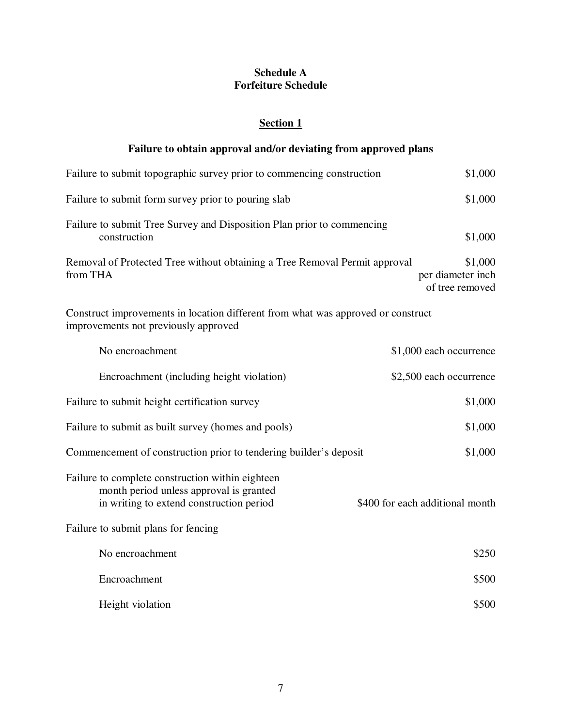### **Schedule A Forfeiture Schedule**

## **Section 1**

# **Failure to obtain approval and/or deviating from approved plans**

| Failure to submit topographic survey prior to commencing construction                                                                   | \$1,000                                         |
|-----------------------------------------------------------------------------------------------------------------------------------------|-------------------------------------------------|
| Failure to submit form survey prior to pouring slab                                                                                     | \$1,000                                         |
| Failure to submit Tree Survey and Disposition Plan prior to commencing<br>construction                                                  | \$1,000                                         |
| Removal of Protected Tree without obtaining a Tree Removal Permit approval<br>from THA                                                  | \$1,000<br>per diameter inch<br>of tree removed |
| Construct improvements in location different from what was approved or construct<br>improvements not previously approved                |                                                 |
| No encroachment                                                                                                                         | \$1,000 each occurrence                         |
| Encroachment (including height violation)                                                                                               | \$2,500 each occurrence                         |
| Failure to submit height certification survey                                                                                           | \$1,000                                         |
| Failure to submit as built survey (homes and pools)                                                                                     | \$1,000                                         |
| Commencement of construction prior to tendering builder's deposit                                                                       | \$1,000                                         |
| Failure to complete construction within eighteen<br>month period unless approval is granted<br>in writing to extend construction period | \$400 for each additional month                 |
| Failure to submit plans for fencing                                                                                                     |                                                 |
| No encroachment                                                                                                                         | \$250                                           |
| Encroachment                                                                                                                            | \$500                                           |
| Height violation                                                                                                                        | \$500                                           |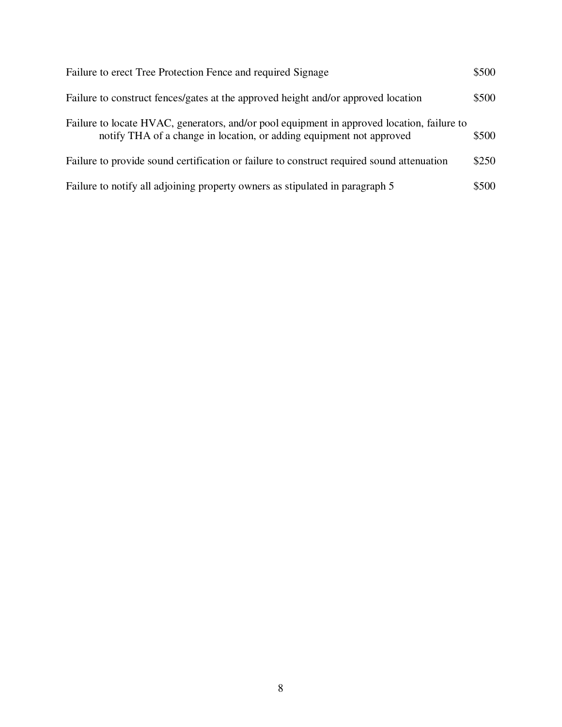| Failure to erect Tree Protection Fence and required Signage                                                                                                        | \$500 |
|--------------------------------------------------------------------------------------------------------------------------------------------------------------------|-------|
| Failure to construct fences/gates at the approved height and/or approved location                                                                                  | \$500 |
| Failure to locate HVAC, generators, and/or pool equipment in approved location, failure to<br>notify THA of a change in location, or adding equipment not approved | \$500 |
| Failure to provide sound certification or failure to construct required sound attenuation                                                                          | \$250 |
| Failure to notify all adjoining property owners as stipulated in paragraph 5                                                                                       | \$500 |